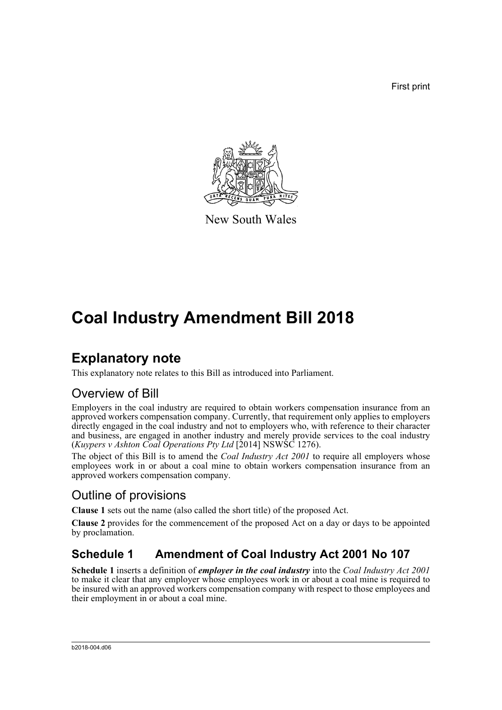First print



New South Wales

# **Coal Industry Amendment Bill 2018**

## **Explanatory note**

This explanatory note relates to this Bill as introduced into Parliament.

## Overview of Bill

Employers in the coal industry are required to obtain workers compensation insurance from an approved workers compensation company. Currently, that requirement only applies to employers directly engaged in the coal industry and not to employers who, with reference to their character and business, are engaged in another industry and merely provide services to the coal industry (*Kuypers v Ashton Coal Operations Pty Ltd* [2014] NSWSC 1276).

The object of this Bill is to amend the *Coal Industry Act 2001* to require all employers whose employees work in or about a coal mine to obtain workers compensation insurance from an approved workers compensation company.

## Outline of provisions

**Clause 1** sets out the name (also called the short title) of the proposed Act.

**Clause 2** provides for the commencement of the proposed Act on a day or days to be appointed by proclamation.

### **Schedule 1 Amendment of Coal Industry Act 2001 No 107**

**Schedule 1** inserts a definition of *employer in the coal industry* into the *Coal Industry Act 2001* to make it clear that any employer whose employees work in or about a coal mine is required to be insured with an approved workers compensation company with respect to those employees and their employment in or about a coal mine.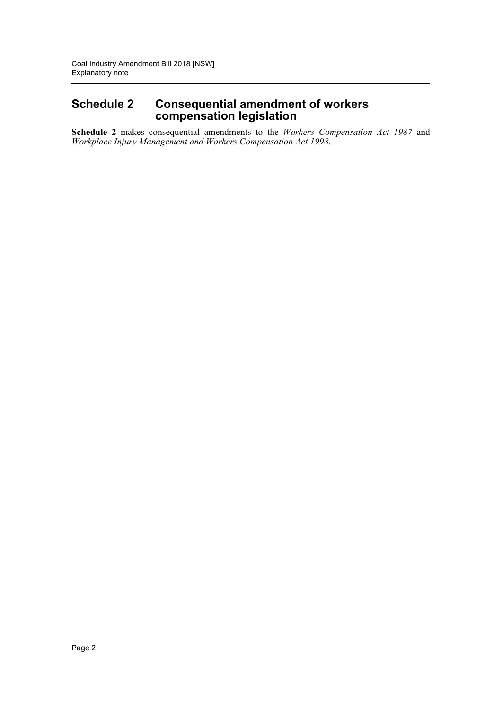#### **Schedule 2 Consequential amendment of workers compensation legislation**

**Schedule 2** makes consequential amendments to the *Workers Compensation Act 1987* and *Workplace Injury Management and Workers Compensation Act 1998*.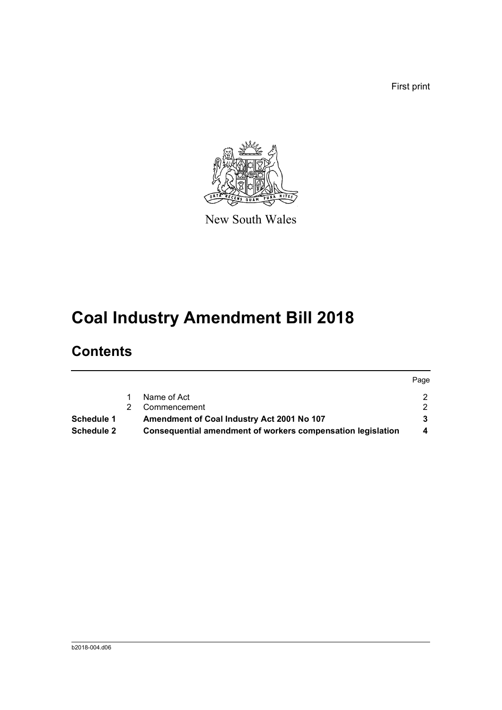First print

 $P^2$ 



New South Wales

# **Coal Industry Amendment Bill 2018**

## **Contents**

|            |                                                             | <b>Page</b> |
|------------|-------------------------------------------------------------|-------------|
|            | Name of Act                                                 |             |
|            | Commencement                                                |             |
| Schedule 1 | Amendment of Coal Industry Act 2001 No 107                  |             |
| Schedule 2 | Consequential amendment of workers compensation legislation |             |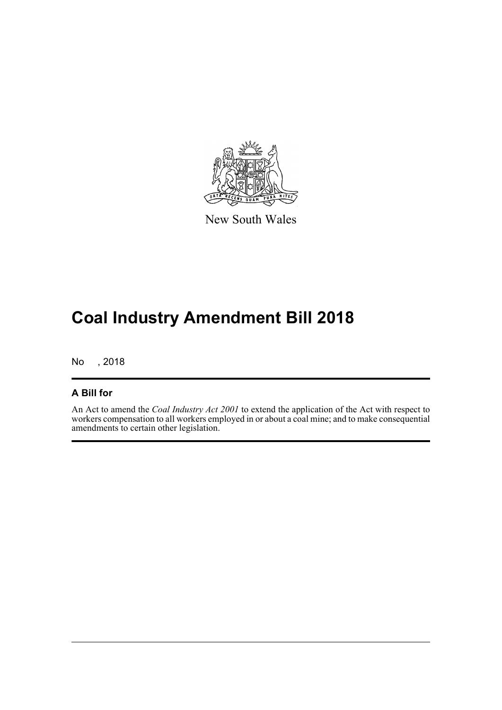

New South Wales

# **Coal Industry Amendment Bill 2018**

No , 2018

#### **A Bill for**

An Act to amend the *Coal Industry Act 2001* to extend the application of the Act with respect to workers compensation to all workers employed in or about a coal mine; and to make consequential amendments to certain other legislation.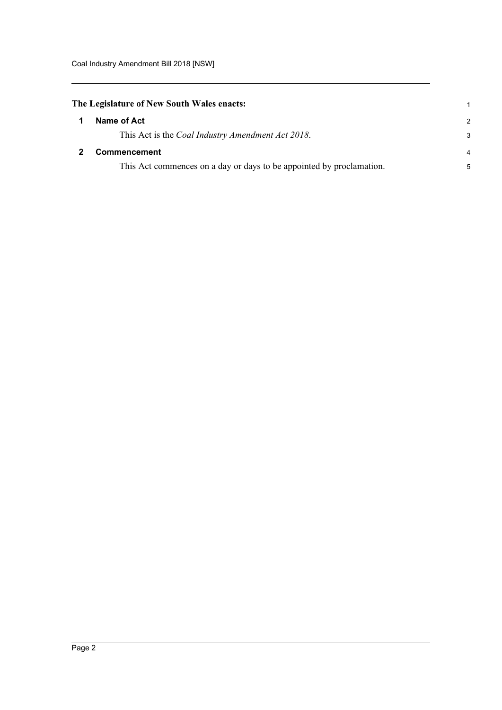<span id="page-4-1"></span><span id="page-4-0"></span>

| The Legislature of New South Wales enacts: |                                                                      |               |
|--------------------------------------------|----------------------------------------------------------------------|---------------|
|                                            | Name of Act                                                          | $\mathcal{P}$ |
|                                            | This Act is the <i>Coal Industry Amendment Act 2018</i> .            | 3             |
|                                            | <b>Commencement</b>                                                  |               |
|                                            | This Act commences on a day or days to be appointed by proclamation. | 5             |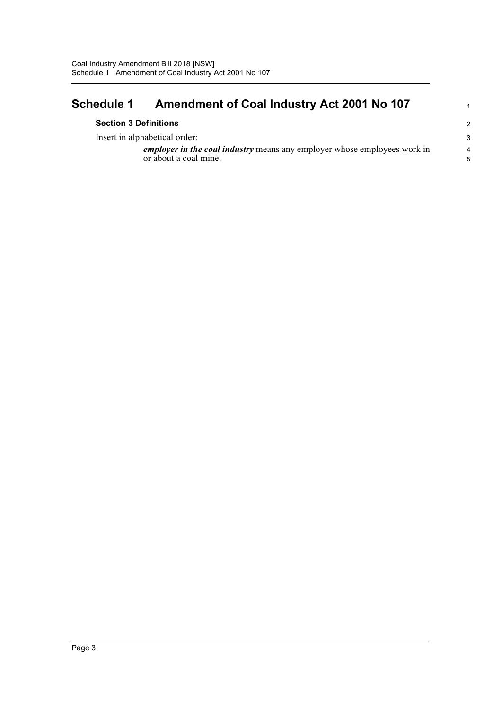### <span id="page-5-0"></span>**Schedule 1 Amendment of Coal Industry Act 2001 No 107**

Insert in alphabetical order:

*employer in the coal industry* means any employer whose employees work in or about a coal mine.

1